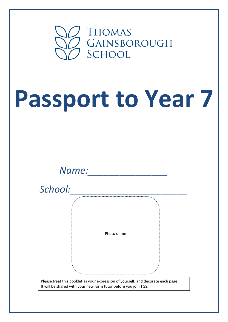

## **Passport to Year 7**

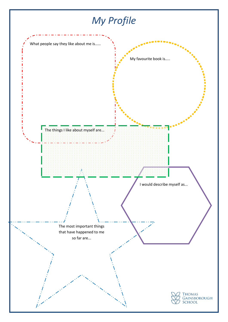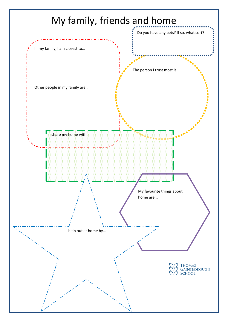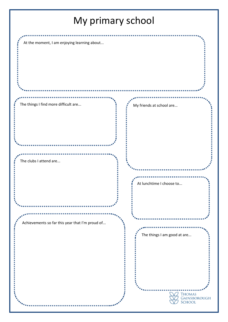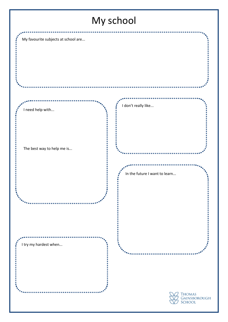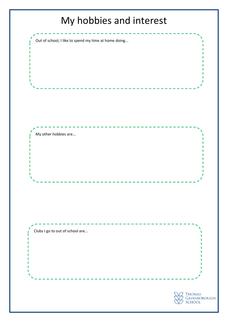## My hobbies and interest

Out of school, I like to spend my time at home doing...

Clubs I go to out of school are...

My other hobbies are...

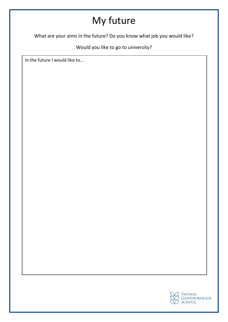## My future

What are your aims in the future? Do you know what job you would like?

Would you like to go to university?

In the future I would like to...